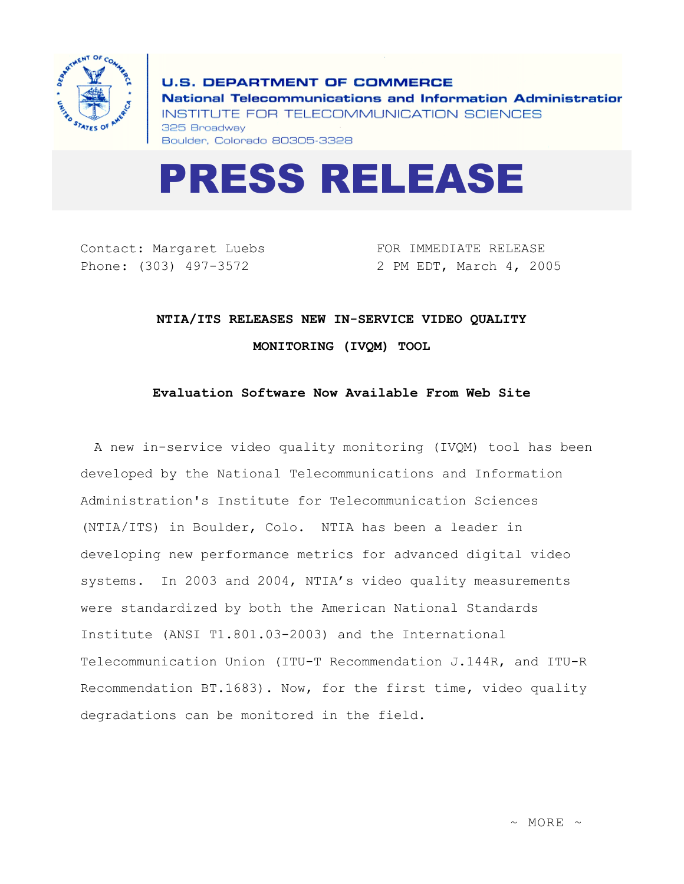

**U.S. DEPARTMENT OF COMMERCE** National Telecommunications and Information Administratior INSTITUTE FOR TELECOMMUNICATION SCIENCES 325 Broadway Boulder, Colorado 80305-3328



Contact: Margaret Luebs Phone: (303) 497-3572

FOR IMMEDIATE RELEASE 2 PM EDT, March 4, 2005

## **NTIA/ITS RELEASES NEW IN-SERVICE VIDEO QUALITY MONITORING (IVQM) TOOL**

## **Evaluation Software Now Available From Web Site**

A new in-service video quality monitoring (IVQM) tool has been developed by the National Telecommunications and Information Administration's Institute for Telecommunication Sciences (NTIA/ITS) in Boulder, Colo. NTIA has been a leader in developing new performance metrics for advanced digital video systems. In 2003 and 2004, NTIA's video quality measurements were standardized by both the American National Standards Institute (ANSI T1.801.03-2003) and the International Telecommunication Union (ITU-T Recommendation J.144R, and ITU-R Recommendation BT.1683). Now, for the first time, video quality degradations can be monitored in the field.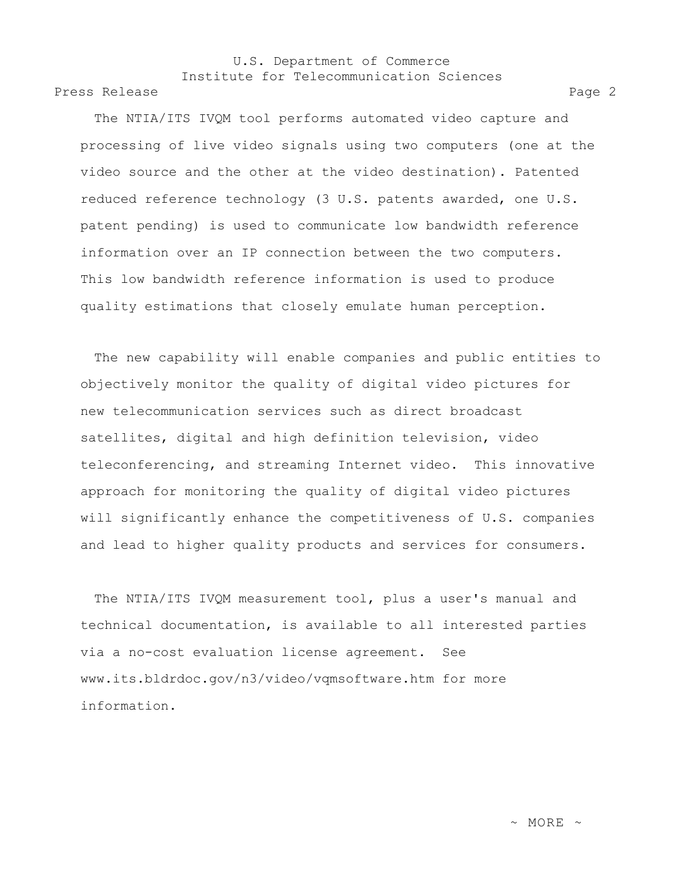## U.S. Department of Commerce Institute for Telecommunication Sciences

Press Release Page 2

The NTIA/ITS IVQM tool performs automated video capture and processing of live video signals using two computers (one at the video source and the other at the video destination). Patented reduced reference technology (3 U.S. patents awarded, one U.S. patent pending) is used to communicate low bandwidth reference information over an IP connection between the two computers. This low bandwidth reference information is used to produce quality estimations that closely emulate human perception.

The new capability will enable companies and public entities to objectively monitor the quality of digital video pictures for new telecommunication services such as direct broadcast satellites, digital and high definition television, video teleconferencing, and streaming Internet video. This innovative approach for monitoring the quality of digital video pictures will significantly enhance the competitiveness of U.S. companies and lead to higher quality products and services for consumers.

The NTIA/ITS IVQM measurement tool, plus a user's manual and technical documentation, is available to all interested parties via a no-cost evaluation license agreement. See www.its.bldrdoc.gov/n3/video/vqmsoftware.htm for more information.